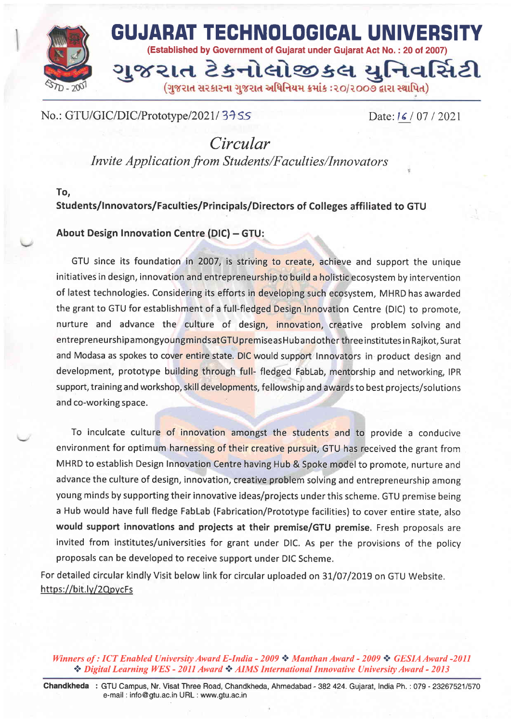

# No.: GTU/GIC/DIC/Prototype/2021/34SS

Date: **16** / 07 / 2021

.;

Circular Invite Application from Students/Faculties/Innovators

## To, Students/!nnovators/Faculties/Principats/Directors of Colleges affiliated to GTU

## About Design Innovation Centre (DIC) - GTU:

GTU since its foundation in 2007, is striving to create, achieve and support the unique initiatives in design, innovation and entrepreneurship to build a holistic ecosystem by intervention of latest technologies. Considering its efforts in developing such ecosystem, MHRD has awarded the grant to GTU for establishment of a full-fledged Design Innovation Centre (DIC) to promote, nurture and advance the culture of design, innovation, creative problem solving and entrepreneurship a mongyoung minds at GTU premise as Hub and other three institutes in Raikot, Surat and Modasa as spokes to cover entire state. DIC would support Innovators in product design and development, prototype building through full- fledged FabLab, mentorship and networking, IPR support, training and workshop, skill developments, fellowship and awards to best projects/solutions and co-working space.

To inculcate culture of innovation amongst the students and to provide a conducive environment for optimum harnessing of their creative pursuit, GTU has received the grant from MHRD to establish Design Innovation Centre having Hub & Spoke model to promote, nurture and advance the culture of design, innovation, creative problem solving and entrepreneurship among young minds by supporting their innovative ideas/projects under this scheme. GTU premise being a Hub would have full fledge Fablab (Fabrication/Prototype facilities) to cover entire state, also would support innovations and projects at their premise/GTU premise. Fresh proposals are invited from institutes/universities for grant under DlC. As per the provisions of the policy proposals can be developed to receive support under DIC Scheme.

For detailed circular kindly Visit below link for circular uploaded on 31/07/2019 on GTU Website. https://bit.ly/2QpycFs

Winners of : ICT Enabled University Award E-India - 2009  $\cdot$  Manthan Award - 2009  $\cdot \cdot$  GESIA Award -2011 \* Digitul Learning WES - 2011 Award \* AIMS International Innovative University Award - <sup>2013</sup>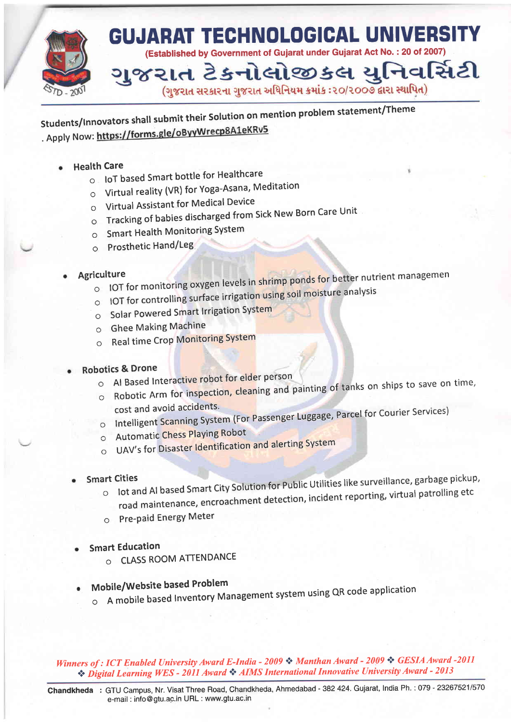

students/lnnovators shall submit their solution on mention problem statement/Theme . Apply Now: https://forms.gle/oByyWrecp8A1eKRv5

- Health Care
	- o loT based Smart bottle for Healthcare
		- $\circ$  Virtual reality (VR) for Yoga-Asana, Meditation
		- o Virtual Assistant for Medical Device
		- o Tracking of babies discharged from Sick New Born Care Unit
		- o Smart Health Monitoring SYstem
		- o Prosthetic Hand/Leg

#### $\bullet$

- Agriculture<br>example and the magnituding oxygen levels in shrimp ponds for better nutrient management  $\circ$  loT for monitoring oxygen levels in shrimpponducture analysis
	- o IOT for controlling surface irrigation using soil moisture analysis
	- o Solar Powered Smart lrrigation System
	- o Ghee Making Machine
	- o Real time Crop Monitoring System

### Robotics & Drone

- o Al Based Interactive robot for elder person
- o Robotic Arm for inspection, cleaning and painting of tanks on ships to save on time,<br>cost and avoid accidents.
- cost and avoid accidents.<br>
o lntelligent Scanning System (For Passenger Luggage, Parcel for Courier Services)
- o Automatic Chess PlaYing Robot
- o UAV's for Disaster ldentification and alerting System
- Smart Cities
- $\circ$  lot and AI based Smart City Solution for Public Utilities like surveillance, garbage pickup, road maintenance, encroachment detection, incident reporting, virtual patrolling etc
	- o Pre-paid Energy Meter
- Smart Education
	- o CLASS ROOM ATTENDANCE
- Mobile/Website based Problem
	- $\circ$  A mobile based Inventory Management system using QR code application

Winners of : ICT Enabled University Award E-India - 2009  $\div$  Manthan Award - 2009  $\div$  GESIA Award -2011  $\clubsuit$  Digital Learning WES - 2011 Award  $\clubsuit$  AIMS International Innovative University Award - 2013